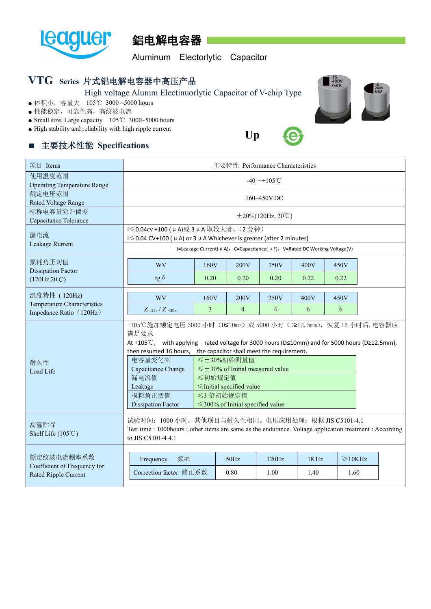



Aluminum Electorlytic Capacitor

## **VTG Series** 片式铝电解电容器中高压产品

High voltage Alumm Electinuorlytic Capacitor of V-chip Type

- 体积小, 容量大 105℃ 3000~5000 hours
- 性能稳定,可靠性高,高纹波电流
- Small size, Large capacity 105℃ 3000~5000 hours
- High stability and reliability with high ripple current

## ■ 主要技术性能 **Specifications**

| 使用温度范围<br>$-40$ ~+105°C<br><b>Operating Temperature Range</b><br>额定电压范围<br>160~450V.DC<br>Rated Voltage Range<br>标称电容量允许偏差<br>$\pm 20\%$ (120Hz, 20°C)<br>Capacitance Tolerance<br>I ≤ 0.04cv +100 (μ A)或 3 μ A 取较大者, (2 分钟)<br>漏电流<br>I ≤ 0.04 CV+100 ( $\mu$ A) or 3 $\mu$ A Whichever is greater (after 2 minutes)<br>Leakage Rurrent<br>I=Leakage Current( $\mu$ A), C=Capacitance( $\mu$ F), V=Rated DC Working Voltage(V)<br>损耗角正切值<br>WV<br>160V<br>200V<br>250V<br>400V<br>450V<br><b>Dissipation Factor</b><br>0.22<br>tg $\delta$<br>0.20<br>0.20<br>0.20<br>0.22<br>(120Hz20°C)<br>温度特性 (120Hz)<br><b>WV</b><br>160V<br>200V<br>250V<br>400V<br>450V<br>Temperature Characteristics<br>$\overline{3}$<br>$\overline{4}$<br>$\overline{4}$<br>6<br>6<br>$Z_{-25\degree}$ / $Z_{+20\degree}$<br>Impedance Ratio (120Hz)<br>+105℃施加额定电压 3000 小时 (D≤10mm)或 5000 小时 (D≥12.5mm), 恢复 16 小时后, 电容器应<br>满足要求<br>At +105°C, with applying rated voltage for 3000 hours (D≤10mm) and for 5000 hours (D≥12.5mm),<br>the capacitor shall meet the requirement.<br>then resumed 16 hours,<br>≤±30%初始测量值<br>电容量变化率<br>耐久性<br>Capacitance Change<br>$\leq$ ±30% of Initial measured value<br>Load Life<br>漏电流值<br>≤初始规定值<br>$\le$ Initial specified value<br>Leakage<br>损耗角正切值<br>≤3 倍初始规定值<br><b>Dissipation Factor</b><br>$\leq$ 300% of Initial specified value<br>试验时间: 1000 小时, 其他项目与耐久性相同。电压应用处理: 根据 JIS C5101-4.1<br>高温贮存<br>Shelf Life $(105^{\circ}\text{C})$<br>to JIS C5101-4 4.1<br>额定纹波电流频率系数<br>频率<br>50Hz<br>120Hz<br>$\geqslant$ 10KHz<br>Frequency<br>1KHz<br>Coefficient of Frequency for<br>Correction factor 修正系数<br>0.80<br>1.00<br>1.40<br>1.60<br>Rated Ripple Current | 项目 Items | 主要特性 Performance Characteristics |                                                                                                          |  |  |  |  |  |  |  |  |
|-----------------------------------------------------------------------------------------------------------------------------------------------------------------------------------------------------------------------------------------------------------------------------------------------------------------------------------------------------------------------------------------------------------------------------------------------------------------------------------------------------------------------------------------------------------------------------------------------------------------------------------------------------------------------------------------------------------------------------------------------------------------------------------------------------------------------------------------------------------------------------------------------------------------------------------------------------------------------------------------------------------------------------------------------------------------------------------------------------------------------------------------------------------------------------------------------------------------------------------------------------------------------------------------------------------------------------------------------------------------------------------------------------------------------------------------------------------------------------------------------------------------------------------------------------------------------------------------------------------------------------------------------------------------------------------------|----------|----------------------------------|----------------------------------------------------------------------------------------------------------|--|--|--|--|--|--|--|--|
|                                                                                                                                                                                                                                                                                                                                                                                                                                                                                                                                                                                                                                                                                                                                                                                                                                                                                                                                                                                                                                                                                                                                                                                                                                                                                                                                                                                                                                                                                                                                                                                                                                                                                         |          |                                  |                                                                                                          |  |  |  |  |  |  |  |  |
|                                                                                                                                                                                                                                                                                                                                                                                                                                                                                                                                                                                                                                                                                                                                                                                                                                                                                                                                                                                                                                                                                                                                                                                                                                                                                                                                                                                                                                                                                                                                                                                                                                                                                         |          |                                  |                                                                                                          |  |  |  |  |  |  |  |  |
|                                                                                                                                                                                                                                                                                                                                                                                                                                                                                                                                                                                                                                                                                                                                                                                                                                                                                                                                                                                                                                                                                                                                                                                                                                                                                                                                                                                                                                                                                                                                                                                                                                                                                         |          |                                  |                                                                                                          |  |  |  |  |  |  |  |  |
|                                                                                                                                                                                                                                                                                                                                                                                                                                                                                                                                                                                                                                                                                                                                                                                                                                                                                                                                                                                                                                                                                                                                                                                                                                                                                                                                                                                                                                                                                                                                                                                                                                                                                         |          |                                  |                                                                                                          |  |  |  |  |  |  |  |  |
|                                                                                                                                                                                                                                                                                                                                                                                                                                                                                                                                                                                                                                                                                                                                                                                                                                                                                                                                                                                                                                                                                                                                                                                                                                                                                                                                                                                                                                                                                                                                                                                                                                                                                         |          |                                  |                                                                                                          |  |  |  |  |  |  |  |  |
|                                                                                                                                                                                                                                                                                                                                                                                                                                                                                                                                                                                                                                                                                                                                                                                                                                                                                                                                                                                                                                                                                                                                                                                                                                                                                                                                                                                                                                                                                                                                                                                                                                                                                         |          |                                  |                                                                                                          |  |  |  |  |  |  |  |  |
|                                                                                                                                                                                                                                                                                                                                                                                                                                                                                                                                                                                                                                                                                                                                                                                                                                                                                                                                                                                                                                                                                                                                                                                                                                                                                                                                                                                                                                                                                                                                                                                                                                                                                         |          |                                  |                                                                                                          |  |  |  |  |  |  |  |  |
|                                                                                                                                                                                                                                                                                                                                                                                                                                                                                                                                                                                                                                                                                                                                                                                                                                                                                                                                                                                                                                                                                                                                                                                                                                                                                                                                                                                                                                                                                                                                                                                                                                                                                         |          |                                  |                                                                                                          |  |  |  |  |  |  |  |  |
|                                                                                                                                                                                                                                                                                                                                                                                                                                                                                                                                                                                                                                                                                                                                                                                                                                                                                                                                                                                                                                                                                                                                                                                                                                                                                                                                                                                                                                                                                                                                                                                                                                                                                         |          |                                  |                                                                                                          |  |  |  |  |  |  |  |  |
|                                                                                                                                                                                                                                                                                                                                                                                                                                                                                                                                                                                                                                                                                                                                                                                                                                                                                                                                                                                                                                                                                                                                                                                                                                                                                                                                                                                                                                                                                                                                                                                                                                                                                         |          |                                  |                                                                                                          |  |  |  |  |  |  |  |  |
|                                                                                                                                                                                                                                                                                                                                                                                                                                                                                                                                                                                                                                                                                                                                                                                                                                                                                                                                                                                                                                                                                                                                                                                                                                                                                                                                                                                                                                                                                                                                                                                                                                                                                         |          |                                  | Test time : 1000hours ; other items are same as the endurance. Voltage application treatment : According |  |  |  |  |  |  |  |  |
|                                                                                                                                                                                                                                                                                                                                                                                                                                                                                                                                                                                                                                                                                                                                                                                                                                                                                                                                                                                                                                                                                                                                                                                                                                                                                                                                                                                                                                                                                                                                                                                                                                                                                         |          |                                  |                                                                                                          |  |  |  |  |  |  |  |  |
|                                                                                                                                                                                                                                                                                                                                                                                                                                                                                                                                                                                                                                                                                                                                                                                                                                                                                                                                                                                                                                                                                                                                                                                                                                                                                                                                                                                                                                                                                                                                                                                                                                                                                         |          |                                  |                                                                                                          |  |  |  |  |  |  |  |  |





**Up**